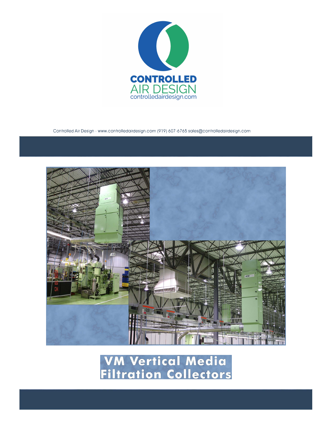

Controlled Air Design - www.controlledairdesign.com (919) 607-6765 sales@controlledairdesign.com



**VM Vertical Media<br>Filtration Collectors**